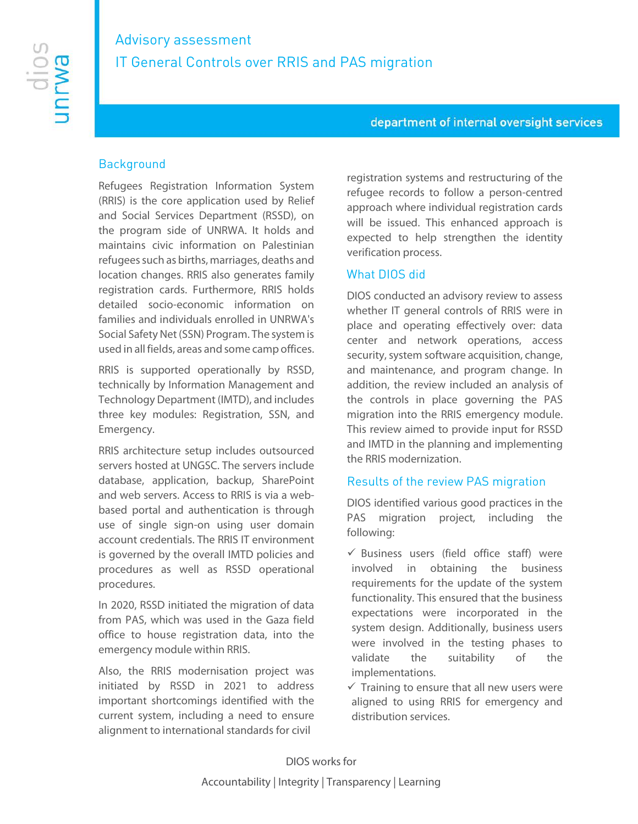# Advisory assessment IT General Controls over RRIS and PAS migration

#### department of internal oversight services

#### **Background**

Refugees Registration Information System (RRIS) is the core application used by Relief and Social Services Department (RSSD), on the program side of UNRWA. It holds and maintains civic information on Palestinian refugees such as births, marriages, deaths and location changes. RRIS also generates family registration cards. Furthermore, RRIS holds detailed socio-economic information on families and individuals enrolled in UNRWA's Social Safety Net (SSN) Program. The system is used in all fields, areas and some camp offices.

RRIS is supported operationally by RSSD, technically by Information Management and Technology Department (IMTD), and includes three key modules: Registration, SSN, and Emergency.

RRIS architecture setup includes outsourced servers hosted at UNGSC. The servers include database, application, backup, SharePoint and web servers. Access to RRIS is via a webbased portal and authentication is through use of single sign-on using user domain account credentials. The RRIS IT environment is governed by the overall IMTD policies and procedures as well as RSSD operational procedures.

In 2020, RSSD initiated the migration of data from PAS, which was used in the Gaza field office to house registration data, into the emergency module within RRIS.

Also, the RRIS modernisation project was initiated by RSSD in 2021 to address important shortcomings identified with the current system, including a need to ensure alignment to international standards for civil

registration systems and restructuring of the refugee records to follow a person-centred approach where individual registration cards will be issued. This enhanced approach is expected to help strengthen the identity verification process.

#### What DIOS did

DIOS conducted an advisory review to assess whether IT general controls of RRIS were in place and operating effectively over: data center and network operations, access security, system software acquisition, change, and maintenance, and program change. In addition, the review included an analysis of the controls in place governing the PAS migration into the RRIS emergency module. This review aimed to provide input for RSSD and IMTD in the planning and implementing the RRIS modernization.

#### Results of the review PAS migration

DIOS identified various good practices in the PAS migration project, including the following:

- $\checkmark$  Business users (field office staff) were involved in obtaining the business requirements for the update of the system functionality. This ensured that the business expectations were incorporated in the system design. Additionally, business users were involved in the testing phases to validate the suitability of the implementations.
- $\checkmark$  Training to ensure that all new users were aligned to using RRIS for emergency and distribution services.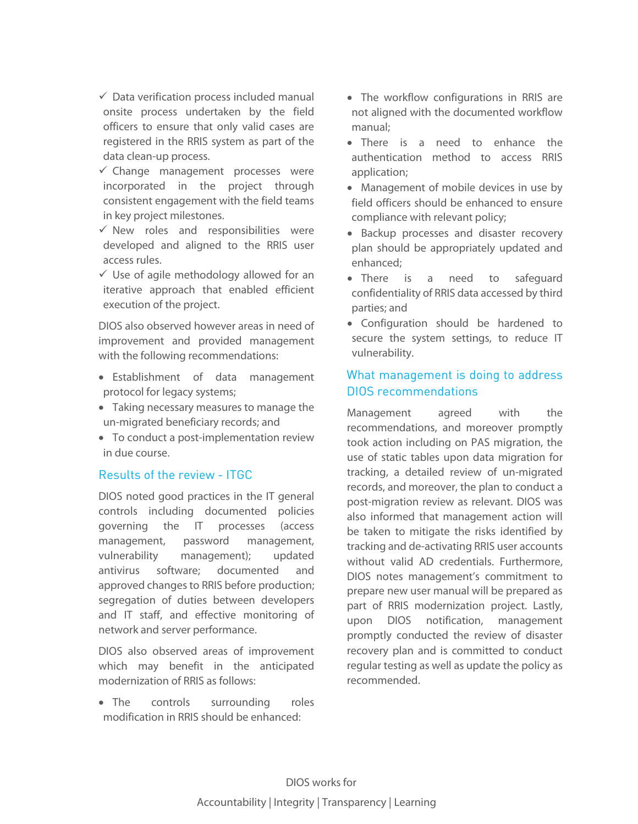$\checkmark$  Data verification process included manual onsite process undertaken by the field officers to ensure that only valid cases are registered in the RRIS system as part of the data clean-up process.

- $\checkmark$  Change management processes were incorporated in the project through consistent engagement with the field teams in key project milestones.
- $\checkmark$  New roles and responsibilities were developed and aligned to the RRIS user access rules.
- $\checkmark$  Use of agile methodology allowed for an iterative approach that enabled efficient execution of the project.

DIOS also observed however areas in need of improvement and provided management with the following recommendations:

- Establishment of data management protocol for legacy systems;
- Taking necessary measures to manage the un-migrated beneficiary records; and
- To conduct a post-implementation review in due course.

## Results of the review - ITGC

DIOS noted good practices in the IT general controls including documented policies governing the IT processes (access management, password management, vulnerability management); updated antivirus software; documented and approved changes to RRIS before production; segregation of duties between developers and IT staff, and effective monitoring of network and server performance.

DIOS also observed areas of improvement which may benefit in the anticipated modernization of RRIS as follows:

• The controls surrounding roles modification in RRIS should be enhanced:

- The workflow configurations in RRIS are not aligned with the documented workflow manual;
- There is a need to enhance the authentication method to access RRIS application;
- Management of mobile devices in use by field officers should be enhanced to ensure compliance with relevant policy;
- Backup processes and disaster recovery plan should be appropriately updated and enhanced;
- There is a need to safeguard confidentiality of RRIS data accessed by third parties; and
- Configuration should be hardened to secure the system settings, to reduce IT vulnerability.

# What management is doing to address DIOS recommendations

Management agreed with the recommendations, and moreover promptly took action including on PAS migration, the use of static tables upon data migration for tracking, a detailed review of un-migrated records, and moreover, the plan to conduct a post-migration review as relevant. DIOS was also informed that management action will be taken to mitigate the risks identified by tracking and de-activating RRIS user accounts without valid AD credentials. Furthermore, DIOS notes management's commitment to prepare new user manual will be prepared as part of RRIS modernization project. Lastly, upon DIOS notification, management promptly conducted the review of disaster recovery plan and is committed to conduct regular testing as well as update the policy as recommended.